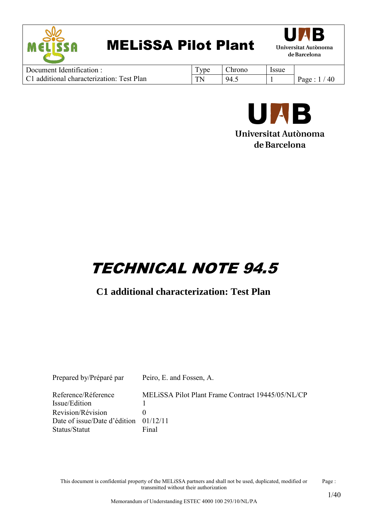



| Document Identification:                  | ype         | Arono | Issue |            |
|-------------------------------------------|-------------|-------|-------|------------|
| C1 additional characterization: Test Plan | $T_{\rm N}$ | 94.1  |       | 40<br>Page |



#### Universitat Autònoma de Barcelona

# TECHNICAL NOTE 94.5

#### **C1 additional characterization: Test Plan**

| Prepared by/Préparé par                 | Peiro, E. and Fossen, A.                          |
|-----------------------------------------|---------------------------------------------------|
| Reference/Réference                     | MELISSA Pilot Plant Frame Contract 19445/05/NL/CP |
| Issue/Edition                           |                                                   |
| <b>Revision/Révision</b>                |                                                   |
| Date of issue/Date d'édition $01/12/11$ |                                                   |
| Status/Statut                           | Final                                             |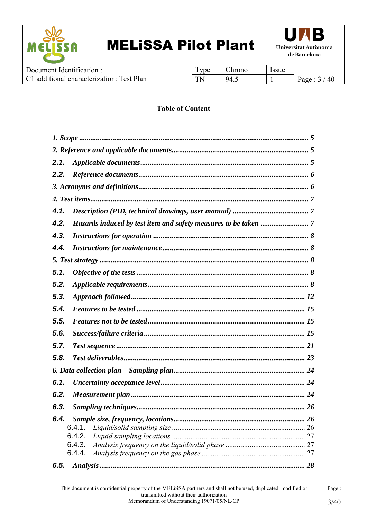



| Document Identification $\cdot$           | <b>vne</b> | Chrono | Issue |            |
|-------------------------------------------|------------|--------|-------|------------|
| C1 additional characterization: Test Plan | TN.        | 94.    |       | 40<br>Page |

#### **Table of Content**

| 2.1. |        |  |
|------|--------|--|
| 2.2. |        |  |
|      |        |  |
|      |        |  |
| 4.1. |        |  |
| 4.2. |        |  |
| 4.3. |        |  |
| 4.4. |        |  |
|      |        |  |
| 5.1. |        |  |
| 5.2. |        |  |
| 5.3. |        |  |
| 5.4. |        |  |
| 5.5. |        |  |
| 5.6. |        |  |
| 5.7. |        |  |
| 5.8. |        |  |
|      |        |  |
| 6.1. |        |  |
| 6.2. |        |  |
| 6.3. |        |  |
| 6.4. |        |  |
|      | 6.4.1. |  |
|      | 6.4.2. |  |
|      | 6.4.3. |  |
|      | 6.4.4. |  |
| 6.5. |        |  |

Page :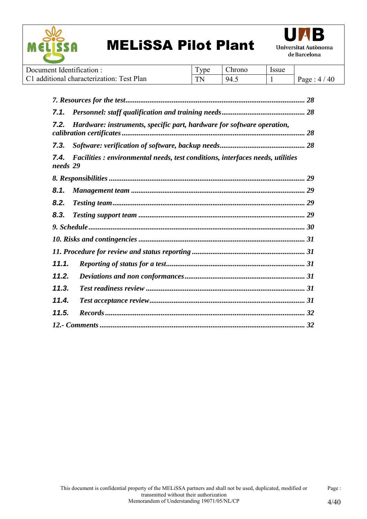



| Document Identification:                  | <b>TT</b><br><b>v</b> be | hrono. | <i>ssue</i> |                 |
|-------------------------------------------|--------------------------|--------|-------------|-----------------|
| C1 additional characterization: Test Plan | <b>TN</b>                | 94.    |             | 40<br>Page<br>4 |

| 7.1.             |                                                                                |  |
|------------------|--------------------------------------------------------------------------------|--|
| 7.2.             | Hardware: instruments, specific part, hardware for software operation,         |  |
| 7.3.             |                                                                                |  |
| 7.4.<br>needs 29 | Facilities : environmental needs, test conditions, interfaces needs, utilities |  |
|                  |                                                                                |  |
| 8.1.             |                                                                                |  |
| 8.2.             |                                                                                |  |
| 8,3.             |                                                                                |  |
|                  |                                                                                |  |
|                  |                                                                                |  |
|                  |                                                                                |  |
| 11.1.            |                                                                                |  |
| 11.2.            |                                                                                |  |
| 11.3.            |                                                                                |  |
| 11.4.            |                                                                                |  |
| 11.5.            |                                                                                |  |
|                  |                                                                                |  |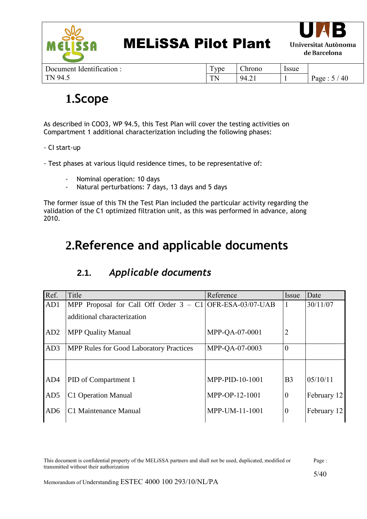

| Document Identification: |  |
|--------------------------|--|
| TN 94.5                  |  |

| Type | Chrono | Issue |              |
|------|--------|-------|--------------|
| TN   | 94.21  |       | Page: $5/40$ |

### <span id="page-4-0"></span>**1.Scope**

As described in COO3, WP 94.5, this Test Plan will cover the testing activities on Compartment 1 additional characterization including the following phases:

- CI start-up
- Test phases at various liquid residence times, to be representative of:
	- Nominal operation: 10 days
	- Natural perturbations: 7 days, 13 days and 5 days

The former issue of this TN the Test Plan included the particular activity regarding the validation of the C1 optimized filtration unit, as this was performed in advance, along 2010.

### <span id="page-4-1"></span>**2.Reference and applicable documents**

<span id="page-4-2"></span>

| Ref.            | Title                                                      | Reference       | Issue          | Date        |
|-----------------|------------------------------------------------------------|-----------------|----------------|-------------|
| AD1             | MPP Proposal for Call Off Order $3 - C1$ OFR-ESA-03/07-UAB |                 |                | 30/11/07    |
|                 | additional characterization                                |                 |                |             |
| AD <sub>2</sub> | <b>MPP Quality Manual</b>                                  | MPP-QA-07-0001  | $\overline{2}$ |             |
| AD3             | <b>MPP Rules for Good Laboratory Practices</b>             | MPP-QA-07-0003  | $\theta$       |             |
|                 |                                                            |                 |                |             |
| AD4             | PID of Compartment 1                                       | MPP-PID-10-1001 | B <sub>3</sub> | 05/10/11    |
| AD5             | C1 Operation Manual                                        | MPP-OP-12-1001  | $\theta$       | February 12 |
| AD <sub>6</sub> | C1 Maintenance Manual                                      | MPP-UM-11-1001  | $\overline{0}$ | February 12 |

#### **2.1.** *Applicable documents*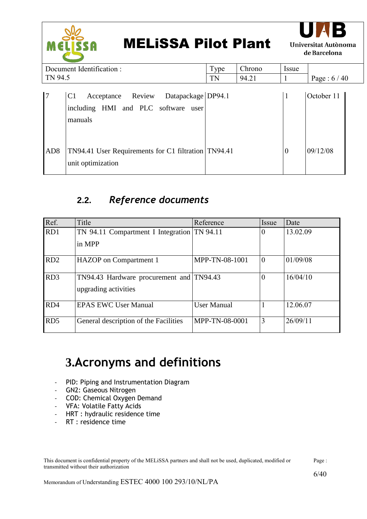

Type | Chrono | Issue



Document Identification : TN 94.5

| TN 94.5         |                                                                                                             | <b>TN</b> | 94.21 |          | Page: $6/40$ |
|-----------------|-------------------------------------------------------------------------------------------------------------|-----------|-------|----------|--------------|
|                 | Datapackage DP94.1<br>Acceptance Review<br>C <sub>1</sub><br>including HMI and PLC software user<br>manuals |           |       |          | October 11   |
| AD <sub>8</sub> | TN94.41 User Requirements for C1 filtration TN94.41<br>unit optimization                                    |           |       | $\theta$ | 09/12/08     |

### **2.2.** *Reference documents*

<span id="page-5-0"></span>

| Ref.            | Title                                                            | Reference          | Issue        | Date     |
|-----------------|------------------------------------------------------------------|--------------------|--------------|----------|
| RD1             | TN 94.11 Compartment I Integration TN 94.11<br>in MPP            |                    | $\Omega$     | 13.02.09 |
| RD <sub>2</sub> | HAZOP on Compartment 1                                           | MPP-TN-08-1001     | $\mathbf{0}$ | 01/09/08 |
| RD3             | TN94.43 Hardware procurement and TN94.43<br>upgrading activities |                    | $\theta$     | 16/04/10 |
| RD4             | <b>EPAS EWC User Manual</b>                                      | <b>User Manual</b> |              | 12.06.07 |
| RD <sub>5</sub> | General description of the Facilities                            | MPP-TN-08-0001     | 3            | 26/09/11 |

### <span id="page-5-1"></span>**3.Acronyms and definitions**

- PID: Piping and Instrumentation Diagram
- GN2: Gaseous Nitrogen
- COD: Chemical Oxygen Demand
- VFA: Volatile Fatty Acids
- HRT : hydraulic residence time
- RT : residence time

| This document is confidential property of the MELISSA partners and shall not be used, duplicated, modified or | Page: |
|---------------------------------------------------------------------------------------------------------------|-------|
| transmitted without their authorization                                                                       |       |

6/40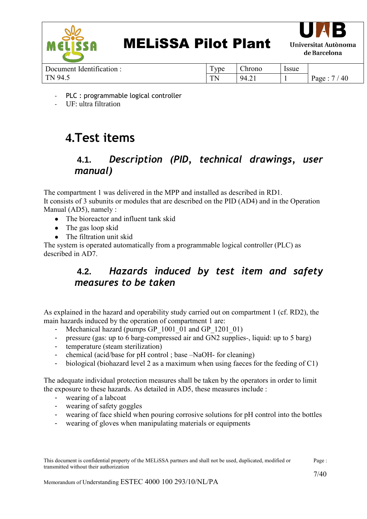



Document Identification : TN 94.5

| Type | Chrono | Issue |              |
|------|--------|-------|--------------|
| TN   | 94.21  |       | Page: $7/40$ |

- PLC : programmable logical controller
- UF: ultra filtration

## <span id="page-6-0"></span>**4.Test items**

### <span id="page-6-1"></span>**4.1.** *Description (PID, technical drawings, user manual)*

The compartment 1 was delivered in the MPP and installed as described in RD1. It consists of 3 subunits or modules that are described on the PID (AD4) and in the Operation Manual (AD5), namely :

- The bioreactor and influent tank skid
- The gas loop skid
- The filtration unit skid

<span id="page-6-2"></span>The system is operated automatically from a programmable logical controller (PLC) as described in AD7.

### **4.2.** *Hazards induced by test item and safety measures to be taken*

As explained in the hazard and operability study carried out on compartment 1 (cf. RD2), the main hazards induced by the operation of compartment 1 are:

- Mechanical hazard (pumps GP 1001 01 and GP 1201 01)
- pressure (gas: up to 6 barg-compressed air and GN2 supplies*-*, liquid: up to 5 barg)
- temperature (steam sterilization)
- chemical (acid/base for pH control ; base –NaOH- for cleaning)
- biological (biohazard level 2 as a maximum when using faeces for the feeding of C1)

The adequate individual protection measures shall be taken by the operators in order to limit the exposure to these hazards. As detailed in AD5, these measures include :

- wearing of a labcoat
- wearing of safety goggles
- wearing of face shield when pouring corrosive solutions for pH control into the bottles
- wearing of gloves when manipulating materials or equipments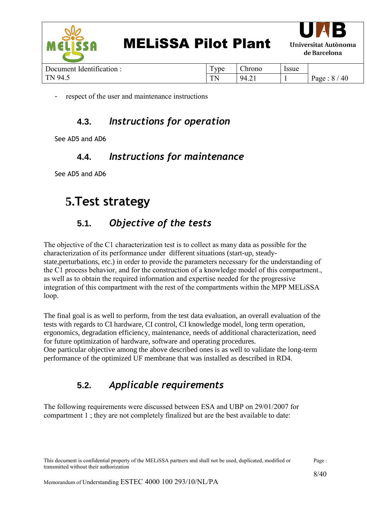

TN |  $94.21$  | 1 | Page : 8 / 40

respect of the user and maintenance instructions

#### **4.3.** *Instructions for operation*

<span id="page-7-1"></span><span id="page-7-0"></span>See AD5 and AD6

#### **4.4.** *Instructions for maintenance*

See AD5 and AD6

### <span id="page-7-2"></span>**5.Test strategy**

### **5.1.** *Objective of the tests*

<span id="page-7-3"></span>The objective of the C1 characterization test is to collect as many data as possible for the characterization of its performance under different situations (start-up, steadystate,perturbations, etc.) in order to provide the parameters necessary for the understanding of the C1 process behavior, and for the construction of a knowledge model of this compartment., as well as to obtain the required information and expertise needed for the progressive integration of this compartment with the rest of the compartments within the MPP MELiSSA loop.

The final goal is as well to perform, from the test data evaluation, an overall evaluation of the tests with regards to CI hardware, CI control, CI knowledge model, long term operation, ergonomics, degradation efficiency, maintenance, needs of additional characterization, need for future optimization of hardware, software and operating procedures.

One particular objective among the above described ones is as well to validate the long-term performance of the optimized UF membrane that was installed as described in RD4.

### **5.2.** *Applicable requirements*

<span id="page-7-4"></span>The following requirements were discussed between ESA and UBP on 29/01/2007 for compartment 1 ; they are not completely finalized but are the best available to date: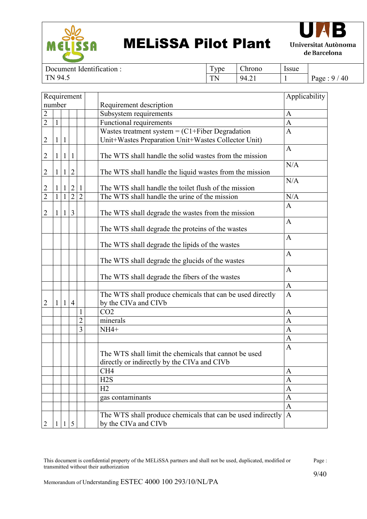



Document Identification : TN 94.5

Type Chrono Issue TN 94.21 1 Page : 9 / 40

| Requirement    |              |              |                | Applicability  |                                                                                                      |              |
|----------------|--------------|--------------|----------------|----------------|------------------------------------------------------------------------------------------------------|--------------|
| number         |              |              |                |                | Requirement description                                                                              |              |
| $\overline{c}$ |              |              |                |                | Subsystem requirements                                                                               | $\mathbf{A}$ |
| $\overline{2}$ | $\mathbf{1}$ |              |                |                | Functional requirements                                                                              | $\mathbf{A}$ |
|                |              |              |                |                | Wastes treatment system = $(C1 +$ Fiber Degradation                                                  | $\mathbf{A}$ |
| 2              | 1            | $\mathbf{1}$ |                |                | Unit+Wastes Preparation Unit+Wastes Collector Unit)                                                  |              |
| $\overline{2}$ | 1            | $\mathbf{1}$ | 1              |                | The WTS shall handle the solid wastes from the mission                                               | $\mathbf{A}$ |
| $\overline{2}$ | $\mathbf{1}$ | $\mathbf{1}$ | $\overline{2}$ |                | The WTS shall handle the liquid wastes from the mission                                              | N/A          |
| $\overline{c}$ |              | $\mathbf{1}$ | $\overline{2}$ | $\mathbf{1}$   | The WTS shall handle the toilet flush of the mission                                                 | N/A          |
| $\overline{2}$ | $\mathbf{1}$ | $\mathbf{1}$ | $\overline{2}$ | $\overline{2}$ | The WTS shall handle the urine of the mission                                                        | N/A          |
| $\overline{2}$ | 1            | $\mathbf{1}$ | $\overline{3}$ |                | The WTS shall degrade the wastes from the mission                                                    | $\mathbf{A}$ |
|                |              |              |                |                | The WTS shall degrade the proteins of the wastes                                                     | $\mathbf{A}$ |
|                |              |              |                |                | The WTS shall degrade the lipids of the wastes                                                       | $\mathbf{A}$ |
|                |              |              |                |                | The WTS shall degrade the glucids of the wastes                                                      | $\mathbf{A}$ |
|                |              |              |                |                | The WTS shall degrade the fibers of the wastes                                                       | $\mathbf{A}$ |
|                |              |              |                |                |                                                                                                      | $\mathbf{A}$ |
| 2              | 1            | $\mathbf{1}$ | $\overline{4}$ |                | The WTS shall produce chemicals that can be used directly<br>by the CIVa and CIVb                    | $\mathbf{A}$ |
|                |              |              |                | $\mathbf{1}$   | CO <sub>2</sub>                                                                                      | $\mathbf{A}$ |
|                |              |              |                | $\overline{c}$ | minerals                                                                                             | $\mathbf{A}$ |
|                |              |              |                | $\overline{3}$ | $NH4+$                                                                                               | $\mathbf{A}$ |
|                |              |              |                |                |                                                                                                      | $\mathbf{A}$ |
|                |              |              |                |                | The WTS shall limit the chemicals that cannot be used<br>directly or indirectly by the CIVa and CIVb | $\mathbf{A}$ |
|                |              |              |                |                | CH <sub>4</sub>                                                                                      | A            |
|                |              |              |                |                | H2S                                                                                                  | $\mathbf{A}$ |
|                |              |              |                |                | H2                                                                                                   | $\mathbf{A}$ |
|                |              |              |                |                | gas contaminants                                                                                     | $\mathbf{A}$ |
|                |              |              |                |                |                                                                                                      | $\mathbf{A}$ |
| 2              | 1            | $\mathbf{1}$ | 5              |                | The WTS shall produce chemicals that can be used indirectly<br>by the CIVa and CIVb                  | $\mathbf{A}$ |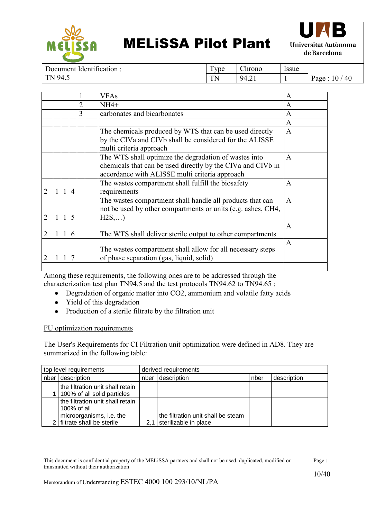



Document Identification : TN 94.5

Type | Chrono | Issue  $TN$  | 94.21 | 1 | Page : 10 / 40

|                |                |                |   | <b>VFAs</b>                                                                                            | A              |
|----------------|----------------|----------------|---|--------------------------------------------------------------------------------------------------------|----------------|
|                |                |                | າ | $NH4+$                                                                                                 | A              |
|                |                |                | 3 | carbonates and bicarbonates                                                                            | A              |
|                |                |                |   |                                                                                                        | $\overline{A}$ |
|                |                |                |   | The chemicals produced by WTS that can be used directly                                                | $\overline{A}$ |
|                |                |                |   | by the CIVa and CIVb shall be considered for the ALISSE                                                |                |
|                |                |                |   | multi criteria approach                                                                                |                |
|                |                |                |   | The WTS shall optimize the degradation of wastes into                                                  | $\overline{A}$ |
|                |                |                |   | chemicals that can be used directly by the CIVa and CIVb in                                            |                |
|                |                |                |   | accordance with ALISSE multi criteria approach                                                         |                |
|                |                |                |   | The wastes compartment shall fulfill the biosafety                                                     | $\mathbf{A}$   |
| $\overline{2}$ | 1 <sup>1</sup> | $\overline{4}$ |   | requirements                                                                                           |                |
|                |                |                |   | The wastes compartment shall handle all products that can                                              | $\mathbf{A}$   |
|                |                |                |   | not be used by other compartments or units (e.g. ashes, CH4,                                           |                |
| $\overline{2}$ | $\mathbf{1}$   | $\overline{5}$ |   | H2S,)                                                                                                  |                |
|                |                |                |   |                                                                                                        | A              |
| $\overline{2}$ | $\vert$ 1      | 6              |   | The WTS shall deliver sterile output to other compartments                                             |                |
|                |                |                |   |                                                                                                        | $\mathbf{A}$   |
| $\overline{2}$ | $\mathbf{1}$   | $\overline{7}$ |   | The wastes compartment shall allow for all necessary steps<br>of phase separation (gas, liquid, solid) |                |
|                |                |                |   |                                                                                                        |                |
|                |                |                |   |                                                                                                        |                |

Among these requirements, the following ones are to be addressed through the characterization test plan TN94.5 and the test protocols TN94.62 to TN94.65 :

- Degradation of organic matter into CO2, ammonium and volatile fatty acids
- Yield of this degradation
- Production of a sterile filtrate by the filtration unit

#### FU optimization requirements

The User's Requirements for CI Filtration unit optimization were defined in AD8. They are summarized in the following table:

| top level requirements |                                                                                                            | derived requirements |                                                             |      |             |  |
|------------------------|------------------------------------------------------------------------------------------------------------|----------------------|-------------------------------------------------------------|------|-------------|--|
| description<br>nber '  |                                                                                                            | nber                 | description                                                 | nber | description |  |
|                        | the filtration unit shall retain<br>1   100% of all solid particles                                        |                      |                                                             |      |             |  |
|                        | the filtration unit shall retain<br>100% of all<br>microorganisms, i.e. the<br>2 filtrate shall be sterile |                      | the filtration unit shall be steam<br>sterilizable in place |      |             |  |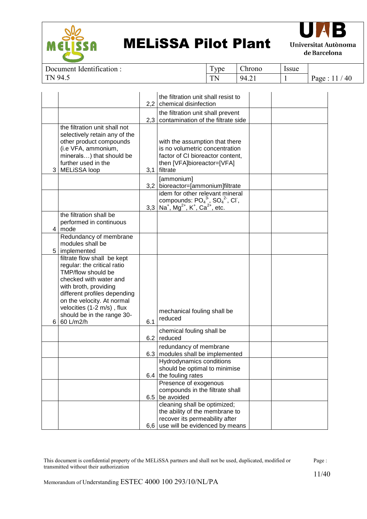



Document Identification : TN 94.5

Type Chrono Issue  $TN$  | 94.21 | 1 | Page : 11 / 40

|                |                                                                                                                                                                                                                                                                            |     | the filtration unit shall resist to<br>2.2 chemical disinfection                                                                                               |  |
|----------------|----------------------------------------------------------------------------------------------------------------------------------------------------------------------------------------------------------------------------------------------------------------------------|-----|----------------------------------------------------------------------------------------------------------------------------------------------------------------|--|
|                |                                                                                                                                                                                                                                                                            |     | the filtration unit shall prevent<br>2,3   contamination of the filtrate side                                                                                  |  |
| 3              | the filtration unit shall not<br>selectively retain any of the<br>other product compounds<br>(i.e VFA, ammonium,<br>minerals) that should be<br>further used in the<br><b>MELISSA loop</b>                                                                                 |     | with the assumption that there<br>is no volumetric concentration<br>factor of CI bioreactor content,<br>then [VFA]bioreactor=[VFA]<br>3,1 filtrate             |  |
|                |                                                                                                                                                                                                                                                                            |     | [ammonium]<br>3,2 bioreactor=[ammonium]filtrate                                                                                                                |  |
|                |                                                                                                                                                                                                                                                                            |     | idem for other relevant mineral<br>compounds: $PO_4^3$ , $SO_4^2$ , Cl,<br>3,3   Na <sup>+</sup> , Mg <sup>2+</sup> , K <sup>+</sup> , Ca <sup>2+</sup> , etc. |  |
| $\overline{4}$ | the filtration shall be<br>performed in continuous<br>mode                                                                                                                                                                                                                 |     |                                                                                                                                                                |  |
| 5 <sup>1</sup> | Redundancy of membrane<br>modules shall be<br>implemented                                                                                                                                                                                                                  |     |                                                                                                                                                                |  |
| 6              | filtrate flow shall be kept<br>regular: the critical ratio<br>TMP/flow should be<br>checked with water and<br>with broth, providing<br>different profiles depending<br>on the velocity. At normal<br>velocities (1-2 m/s), flux<br>should be in the range 30-<br>60 L/m2/h | 6.1 | mechanical fouling shall be<br>reduced                                                                                                                         |  |
|                |                                                                                                                                                                                                                                                                            |     | chemical fouling shall be<br>$6.2$ reduced                                                                                                                     |  |
|                |                                                                                                                                                                                                                                                                            |     | redundancy of membrane<br>6.3   modules shall be implemented                                                                                                   |  |
|                |                                                                                                                                                                                                                                                                            |     | Hydrodynamics conditions<br>should be optimal to minimise<br>6.4 the fouling rates                                                                             |  |
|                |                                                                                                                                                                                                                                                                            |     | Presence of exogenous<br>compounds in the filtrate shall<br>$6.5$ be avoided                                                                                   |  |
|                |                                                                                                                                                                                                                                                                            |     | cleaning shall be optimized;<br>the ability of the membrane to<br>recover its permeability after<br>6,6 use will be evidenced by means                         |  |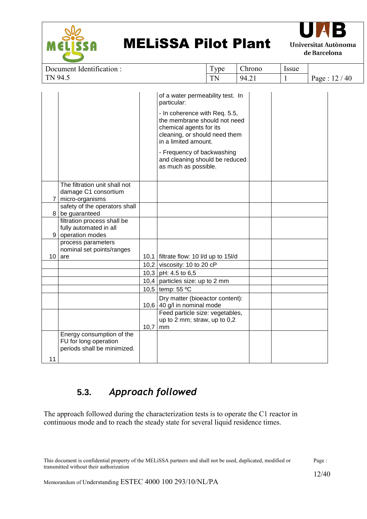



| Document Identification : | Tvpe | Chrono | Issue |                  |
|---------------------------|------|--------|-------|------------------|
| TN 94.5                   | TN   | 94.21  |       | 40<br>12<br>Page |
|                           |      |        |       |                  |

|                |                                                                                   |      | of a water permeability test. In<br>particular:                                                                                                   |  |
|----------------|-----------------------------------------------------------------------------------|------|---------------------------------------------------------------------------------------------------------------------------------------------------|--|
|                |                                                                                   |      | - In coherence with Req. 5.5,<br>the membrane should not need<br>chemical agents for its<br>cleaning, or should need them<br>in a limited amount. |  |
|                |                                                                                   |      | - Frequency of backwashing<br>and cleaning should be reduced<br>as much as possible.                                                              |  |
| $\overline{7}$ | The filtration unit shall not<br>damage C1 consortium<br>micro-organisms          |      |                                                                                                                                                   |  |
|                | safety of the operators shall<br>8 be guaranteed                                  |      |                                                                                                                                                   |  |
|                | filtration process shall be<br>fully automated in all<br>9 operation modes        |      |                                                                                                                                                   |  |
|                | process parameters                                                                |      |                                                                                                                                                   |  |
|                | nominal set points/ranges<br>$10$ are                                             |      | 10,1   filtrate flow: 10 I/d up to 15I/d                                                                                                          |  |
|                |                                                                                   |      | 10,2 viscosity: 10 to 20 $cP$                                                                                                                     |  |
|                |                                                                                   |      | 10,3 pH: 4.5 to 6,5                                                                                                                               |  |
|                |                                                                                   |      | 10,4 particles size: up to 2 mm                                                                                                                   |  |
|                |                                                                                   |      | 10,5 temp: 55 °C                                                                                                                                  |  |
|                |                                                                                   |      | Dry matter (bioeactor content):<br>10,6 40 g/l in nominal mode                                                                                    |  |
|                |                                                                                   | 10,7 | Feed particle size: vegetables,<br>up to 2 mm; straw, up to 0,2<br>mm                                                                             |  |
|                | Energy consumption of the<br>FU for long operation<br>periods shall be minimized. |      |                                                                                                                                                   |  |
| 11             |                                                                                   |      |                                                                                                                                                   |  |

### **5.3.** *Approach followed*

<span id="page-11-0"></span>The approach followed during the characterization tests is to operate the C1 reactor in continuous mode and to reach the steady state for several liquid residence times.

| This document is confidential property of the MELISSA partners and shall not be used, duplicated, modified or | Page: |
|---------------------------------------------------------------------------------------------------------------|-------|
| transmitted without their authorization                                                                       |       |
|                                                                                                               | 12/40 |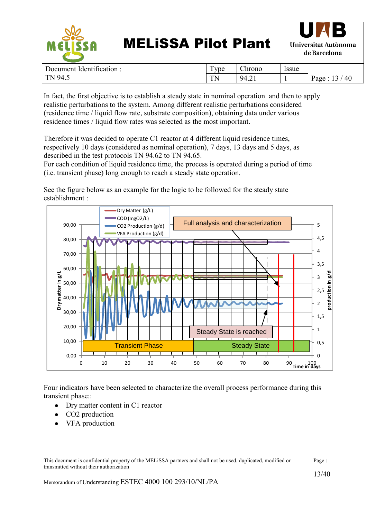



| dentification:<br>Document | $\sqrt{2}$<br>ype<br>л. | $\sim$<br>$\cup$ hrono     | <i>s</i> sue |                  |
|----------------------------|-------------------------|----------------------------|--------------|------------------|
| 94.5<br>TN                 | TN<br>.                 | $\sqrt{94}$ $\degree$<br>. |              | 40<br>Page<br>-4 |

In fact, the first objective is to establish a steady state in nominal operation and then to apply realistic perturbations to the system. Among different realistic perturbations considered (residence time / liquid flow rate, substrate composition), obtaining data under various residence times / liquid flow rates was selected as the most important.

Therefore it was decided to operate C1 reactor at 4 different liquid residence times, respectively 10 days (considered as nominal operation), 7 days, 13 days and 5 days, as described in the test protocols TN 94.62 to TN 94.65.

For each condition of liquid residence time, the process is operated during a period of time (i.e. transient phase) long enough to reach a steady state operation.

See the figure below as an example for the logic to be followed for the steady state establishment :



Four indicators have been selected to characterize the overall process performance during this transient phase::

- Dry matter content in C1 reactor
- CO2 production
- VFA production

This document is confidential property of the MELiSSA partners and shall not be used, duplicated, modified or transmitted without their authorization Page :

13/40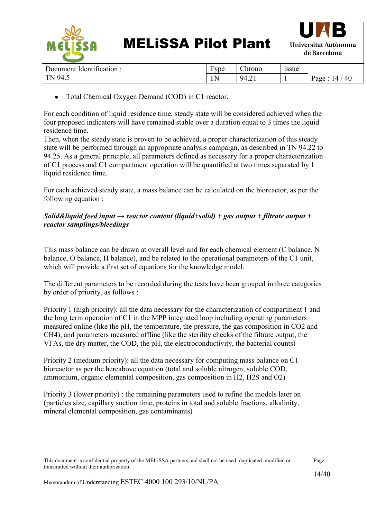

|                                        | - -                           |            |                                     |
|----------------------------------------|-------------------------------|------------|-------------------------------------|
| TN<br>Ч∠<br><b>III</b><br>$\cdot\cdot$ | $\overline{\phantom{a}}$<br>. | 94<br>−.∠⊥ | $\Lambda$ <sup>C</sup><br>аре<br>τν |
|                                        |                               |            |                                     |

Total Chemical Oxygen Demand (COD) in C1 reactor.  $\bullet$ 

For each condition of liquid residence time, steady state will be considered achieved when the four proposed indicators will have remained stable over a duration equal to 3 times the liquid residence time.

Then, when the steady state is proven to be achieved, a proper characterization of this steady state will be performed through an appropriate analysis campaign, as described in TN 94.22 to 94.25. As a general principle, all parameters defined as necessary for a proper characterization of C1 process and C1 compartment operation will be quantified at two times separated by 1 liquid residence time.

For each achieved steady state, a mass balance can be calculated on the bioreactor, as per the following equation :

#### *Solid&liquid feed input → reactor content (liquid+solid) + gas output + filtrate output + reactor samplings/bleedings*

This mass balance can be drawn at overall level and for each chemical element (C balance, N balance, O balance, H balance), and be related to the operational parameters of the C1 unit, which will provide a first set of equations for the knowledge model.

The different parameters to be recorded during the tests have been grouped in three categories by order of priority, as follows :

Priority 1 (high priority): all the data necessary for the characterization of compartment 1 and the long term operation of C1 in the MPP integrated loop including operating parameters measured online (like the pH, the temperature, the pressure, the gas composition in CO2 and CH4), and parameters measured offline (like the sterility checks of the filtrate output, the VFAs, the dry matter, the COD, the pH, the electroconductivity, the bacterial counts)

Priority 2 (medium priority): all the data necessary for computing mass balance on C1 bioreactor as per the hereabove equation (total and soluble nitrogen, soluble COD, ammonium, organic elemental composition, gas composition in H2, H2S and O2)

Priority 3 (lower priority) : the remaining parameters used to refine the models later on (particles size, capillary suction time, proteins in total and soluble fractions, alkalinity, mineral elemental composition, gas contaminants)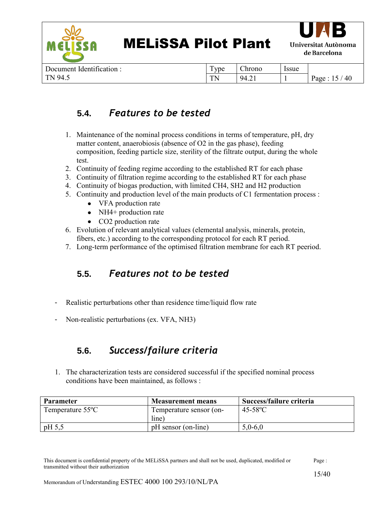



Document Identification : TN 94.5

| Type | Chrono | Issue |             |
|------|--------|-------|-------------|
| TN   | 94.21  |       | Page: 15/40 |

#### **5.4.** *Features to be tested*

- <span id="page-14-0"></span>1. Maintenance of the nominal process conditions in terms of temperature, pH, dry matter content, anaerobiosis (absence of O2 in the gas phase), feeding composition, feeding particle size, sterility of the filtrate output, during the whole test.
- 2. Continuity of feeding regime according to the established RT for each phase
- 3. Continuity of filtration regime according to the established RT for each phase
- 4. Continuity of biogas production, with limited CH4, SH2 and H2 production
- 5. Continuity and production level of the main products of C1 fermentation process :
	- VFA production rate
	- $\bullet$ NH4+ production rate
	- CO2 production rate
- 6. Evolution of relevant analytical values (elemental analysis, minerals, protein, fibers, etc.) according to the corresponding protocol for each RT period.
- 7. Long-term performance of the optimised filtration membrane for each RT peeriod.

### **5.5.** *Features not to be tested*

- <span id="page-14-1"></span>- Realistic perturbations other than residence time/liquid flow rate
- Non-realistic perturbations (ex. VFA, NH3)

### **5.6.** *Success/failure criteria*

<span id="page-14-2"></span>1. The characterization tests are considered successful if the specified nominal process conditions have been maintained, as follows :

| <b>Parameter</b>              | <b>Measurement means</b> | Success/failure criteria |
|-------------------------------|--------------------------|--------------------------|
| Temperature 55 <sup>o</sup> C | Temperature sensor (on-  | $45-58$ °C               |
|                               | line)                    |                          |
| $pH$ 5.5                      | pH sensor (on-line)      | $5,0-6,0$                |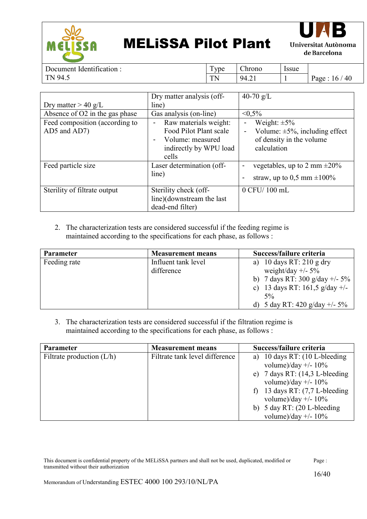



Document Identification : TN 94.5

Type Chrono Issue TN |  $9\overline{4.21}$  | 1 | Page : 16 / 40

|                                | Dry matter analysis (off- | 40-70 $g/L$                                            |
|--------------------------------|---------------------------|--------------------------------------------------------|
| Dry matter $> 40$ g/L          | line)                     |                                                        |
| Absence of O2 in the gas phase | Gas analysis (on-line)    | $< 0.5\%$                                              |
| Feed composition (according to | Raw materials weight:     | Weight: $\pm 5\%$<br>$\blacksquare$                    |
| AD5 and AD7)                   | Food Pilot Plant scale    | Volume: $\pm 5\%$ , including effect<br>$\blacksquare$ |
|                                | Volume: measured          | of density in the volume                               |
|                                | indirectly by WPU load    | calculation                                            |
|                                | cells                     |                                                        |
| Feed particle size             | Laser determination (off- | vegetables, up to 2 mm $\pm 20\%$                      |
|                                | line)                     | straw, up to 0,5 mm $\pm 100\%$<br>$\blacksquare$      |
| Sterility of filtrate output   | Sterility check (off-     | 0 CFU/100 mL                                           |
|                                | line)(downstream the last |                                                        |
|                                | dead-end filter)          |                                                        |

2. The characterization tests are considered successful if the feeding regime is maintained according to the specifications for each phase, as follows :

| <b>Parameter</b> | <b>Measurement means</b>          | Success/failure criteria                                                                                                               |
|------------------|-----------------------------------|----------------------------------------------------------------------------------------------------------------------------------------|
| Feeding rate     | Influent tank level<br>difference | 10 days RT: $210 \text{ g dry}$<br>weight/day $+/- 5\%$<br>b) 7 days RT: 300 g/day +/- $5\%$<br>c) 13 days RT: $161,5$ g/day +/-<br>5% |
|                  |                                   | d) 5 day RT: 420 g/day +/- $5\%$                                                                                                       |

3. The characterization tests are considered successful if the filtration regime is maintained according to the specifications for each phase, as follows :

| <b>Parameter</b>            | <b>Measurement means</b>       | Success/failure criteria                        |
|-----------------------------|--------------------------------|-------------------------------------------------|
| Filtrate production $(L/h)$ | Filtrate tank level difference | 10 days RT: $(10 L$ -bleeding                   |
|                             |                                | volume)/day +/- $10\%$                          |
|                             |                                | e) 7 days RT: $(14,3 \text{ L-bleeding})$       |
|                             |                                | volume)/day $+/- 10\%$                          |
|                             |                                | f) 13 days RT: $(7, 7$ L-bleeding               |
|                             |                                | volume)/day $+/- 10\%$                          |
|                             |                                | b) $5 \text{ day RT: } (20 \text{ L-bleeding})$ |
|                             |                                | volume)/day $+/- 10\%$                          |

| This document is confidential property of the MELISSA partners and shall not be used, duplicated, modified or | Page: |
|---------------------------------------------------------------------------------------------------------------|-------|
| transmitted without their authorization                                                                       |       |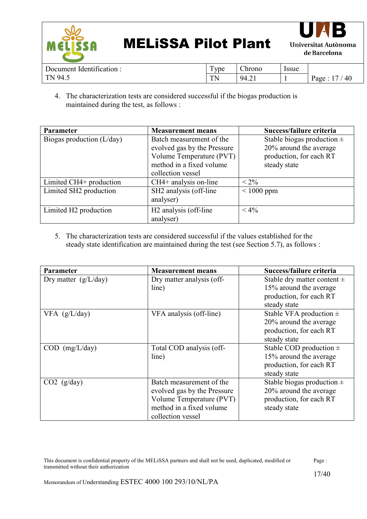



| : Identification :<br>Document | ype     | $\sim$<br>Anrono                         | <i><u><b>Issue</b></u></i> |            |
|--------------------------------|---------|------------------------------------------|----------------------------|------------|
| 94.5<br>$T_{\rm N}$            | ፐነ<br>. | $\sim$<br>94<br>$T_{\ast} \rightarrow T$ |                            | 40<br>Page |

4. The characterization tests are considered successful if the biogas production is maintained during the test, as follows :

| <b>Parameter</b>                  | <b>Measurement means</b>          | Success/failure criteria       |
|-----------------------------------|-----------------------------------|--------------------------------|
| Biogas production (L/day)         | Batch measurement of the          | Stable biogas production $\pm$ |
|                                   | evolved gas by the Pressure       | 20% around the average         |
|                                   | Volume Temperature (PVT)          | production, for each RT        |
|                                   | method in a fixed volume          | steady state                   |
|                                   | collection vessel                 |                                |
| Limited CH4+ production           | $CH4+$ analysis on-line           | $< 2\%$                        |
| Limited SH2 production            | SH2 analysis (off-line            | $\leq 1000$ ppm                |
|                                   | analyser)                         |                                |
| Limited H <sub>2</sub> production | H <sub>2</sub> analysis (off-line | $< 4\%$                        |
|                                   | analyser)                         |                                |

5. The characterization tests are considered successful if the values established for the steady state identification are maintained during the test (see Section 5.7), as follows :

| <b>Parameter</b>       | <b>Measurement means</b>    | Success/failure criteria        |
|------------------------|-----------------------------|---------------------------------|
| Dry matter $(g/L/day)$ | Dry matter analysis (off-   | Stable dry matter content $\pm$ |
|                        | line)                       | 15% around the average          |
|                        |                             | production, for each RT         |
|                        |                             | steady state                    |
| $VFA$ (g/L/day)        | VFA analysis (off-line)     | Stable VFA production $\pm$     |
|                        |                             | 20% around the average          |
|                        |                             | production, for each RT         |
|                        |                             | steady state                    |
| $COD$ (mg/L/day)       | Total COD analysis (off-    | Stable COD production $\pm$     |
|                        | line)                       | 15% around the average          |
|                        |                             | production, for each RT         |
|                        |                             | steady state                    |
| $CO2$ (g/day)          | Batch measurement of the    | Stable biogas production $\pm$  |
|                        | evolved gas by the Pressure | 20% around the average          |
|                        | Volume Temperature (PVT)    | production, for each RT         |
|                        | method in a fixed volume    | steady state                    |
|                        | collection vessel           |                                 |

| This document is confidential property of the MELiSSA partners and shall not be used, duplicated, modified or | Page: |
|---------------------------------------------------------------------------------------------------------------|-------|
| transmitted without their authorization                                                                       |       |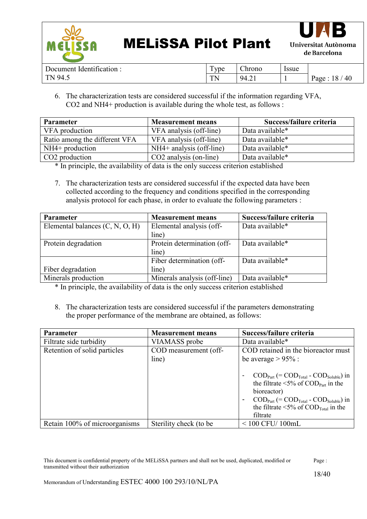



| : Identification :<br>Document | $\mathbf{r}$<br>vpe | $\sim$<br>Chrono                  | Issue |                  |
|--------------------------------|---------------------|-----------------------------------|-------|------------------|
| 94.5<br>TN.                    | TЛ<br>              | 94.21<br>$T_{\ast} \rightarrow T$ |       | 18<br>40<br>Page |

6. The characterization tests are considered successful if the information regarding VFA, CO2 and NH4+ production is available during the whole test, as follows :

| <b>Parameter</b>              | <b>Measurement means</b>   | Success/failure criteria |
|-------------------------------|----------------------------|--------------------------|
| VFA production                | VFA analysis (off-line)    | Data available*          |
| Ratio among the different VFA | VFA analysis (off-line)    | Data available*          |
| $NH4+$ production             | $NH4+$ analysis (off-line) | Data available*          |
| CO <sub>2</sub> production    | CO2 analysis (on-line)     | Data available*          |

\* In principle, the availability of data is the only success criterion established

7. The characterization tests are considered successful if the expected data have been collected according to the frequency and conditions specified in the corresponding analysis protocol for each phase, in order to evaluate the following parameters :

| Parameter                         | <b>Measurement means</b>     | Success/failure criteria |
|-----------------------------------|------------------------------|--------------------------|
| Elemental balances $(C, N, O, H)$ | Elemental analysis (off-     | Data available*          |
|                                   | line)                        |                          |
| Protein degradation               | Protein determination (off-  | Data available*          |
|                                   | line)                        |                          |
|                                   | Fiber determination (off-    | Data available*          |
| Fiber degradation                 | line)                        |                          |
| Minerals production               | Minerals analysis (off-line) | Data available*          |

\* In principle, the availability of data is the only success criterion established

8. The characterization tests are considered successful if the parameters demonstrating the proper performance of the membrane are obtained, as follows:

| <b>Parameter</b>              | <b>Measurement means</b>       | Success/failure criteria                                                                                                                                                                                                                                                                                                                                   |
|-------------------------------|--------------------------------|------------------------------------------------------------------------------------------------------------------------------------------------------------------------------------------------------------------------------------------------------------------------------------------------------------------------------------------------------------|
| Filtrate side turbidity       | VIAMASS probe                  | Data available*                                                                                                                                                                                                                                                                                                                                            |
| Retention of solid particles  | COD measurement (off-<br>line) | COD retained in the bioreactor must<br>be average $> 95\%$ :                                                                                                                                                                                                                                                                                               |
|                               |                                | $\mathrm{COD}_{\mathrm{Part}}$ (= $\mathrm{COD}_{\mathrm{Total}}$ - $\mathrm{COD}_{\mathrm{Soluble}}$ ) in<br>the filtrate $\leq 5\%$ of COD <sub>Part</sub> in the<br>bioreactor)<br>$\text{COD}_{\text{Part}}$ (= $\text{COD}_{\text{Total}}$ - $\text{COD}_{\text{Soluble}}$ ) in<br>the filtrate $\leq 5\%$ of COD <sub>Total</sub> in the<br>filtrate |
| Retain 100% of microorganisms | Sterility check (to be)        | $< 100$ CFU/ $100$ mL                                                                                                                                                                                                                                                                                                                                      |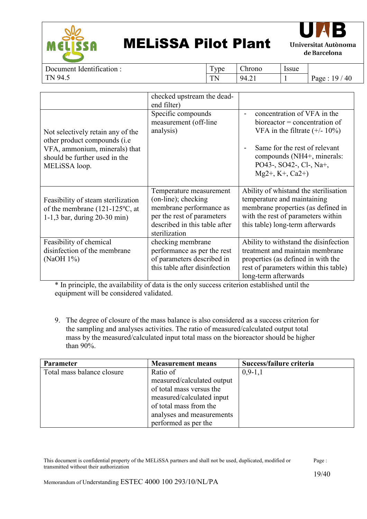



Document Identification : TN 94.5

Type | Chrono | Issue

 $TN$  | 94.21 | 1 | Page : 19 / 40

|                                                                                                                                                                | checked upstream the dead-<br>end filter)                                                                                                                 |                                                                                                                                                                                                                                                                  |
|----------------------------------------------------------------------------------------------------------------------------------------------------------------|-----------------------------------------------------------------------------------------------------------------------------------------------------------|------------------------------------------------------------------------------------------------------------------------------------------------------------------------------------------------------------------------------------------------------------------|
| Not selectively retain any of the<br>other product compounds ( <i>i.e</i> )<br>VFA, ammonium, minerals) that<br>should be further used in the<br>MELISSA loop. | Specific compounds<br>measurement (off-line<br>analysis)                                                                                                  | concentration of VFA in the<br>$\overline{\phantom{a}}$<br>$bioreactor = concentration of$<br>VFA in the filtrate $(+/- 10\%)$<br>Same for the rest of relevant<br>$\blacksquare$<br>compounds (NH4+, minerals:<br>PO43-, SO42-, Cl-, Na+,<br>$Mg2+$ , K+, Ca2+) |
| Feasibility of steam sterilization<br>of the membrane $(121-125$ °C, at<br>1-1,3 bar, during $20-30$ min)                                                      | Temperature measurement<br>(on-line); checking<br>membrane performance as<br>per the rest of parameters<br>described in this table after<br>sterilization | Ability of whistand the sterilisation<br>temperature and maintaining<br>membrane properties (as defined in<br>with the rest of parameters within<br>this table) long-term afterwards                                                                             |
| Feasibility of chemical<br>disinfection of the membrane<br>(NaOH 1%)                                                                                           | checking membrane<br>performance as per the rest<br>of parameters described in<br>this table after disinfection                                           | Ability to withstand the disinfection<br>treatment and maintain membrane<br>properties (as defined in with the<br>rest of parameters within this table)<br>long-term afterwards                                                                                  |

\* In principle, the availability of data is the only success criterion established until the equipment will be considered validated.

9. The degree of closure of the mass balance is also considered as a success criterion for the sampling and analyses activities. The ratio of measured/calculated output total mass by the measured/calculated input total mass on the bioreactor should be higher than 90%.

| <b>Parameter</b>           | <b>Measurement means</b>   | Success/failure criteria |
|----------------------------|----------------------------|--------------------------|
| Total mass balance closure | Ratio of                   | $0,9-1,1$                |
|                            | measured/calculated output |                          |
|                            | of total mass versus the   |                          |
|                            | measured/calculated input  |                          |
|                            | of total mass from the     |                          |
|                            | analyses and measurements  |                          |
|                            | performed as per the       |                          |

| This document is confidential property of the MELISSA partners and shall not be used, duplicated, modified or | Page: |
|---------------------------------------------------------------------------------------------------------------|-------|
| transmitted without their authorization                                                                       |       |
|                                                                                                               | 19/40 |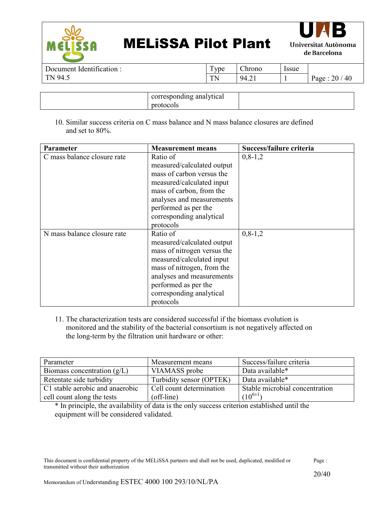



Document Identification : TN 94.5

Type | Chrono | Issue TN | 94.21 | 1 | Page :  $20/40$ 

| corresponding analytical |  |
|--------------------------|--|
| protocols                |  |

10. Similar success criteria on C mass balance and N mass balance closures are defined and set to 80%.

| Parameter                   | <b>Measurement means</b>    | Success/failure criteria |
|-----------------------------|-----------------------------|--------------------------|
| C mass balance closure rate | Ratio of                    | $0, 8-1, 2$              |
|                             | measured/calculated output  |                          |
|                             | mass of carbon versus the   |                          |
|                             | measured/calculated input   |                          |
|                             | mass of carbon, from the    |                          |
|                             | analyses and measurements   |                          |
|                             | performed as per the        |                          |
|                             | corresponding analytical    |                          |
|                             | protocols                   |                          |
| N mass balance closure rate | Ratio of                    | $0, 8 - 1, 2$            |
|                             | measured/calculated output  |                          |
|                             | mass of nitrogen versus the |                          |
|                             | measured/calculated input   |                          |
|                             | mass of nitrogen, from the  |                          |
|                             | analyses and measurements   |                          |
|                             | performed as per the        |                          |
|                             | corresponding analytical    |                          |
|                             | protocols                   |                          |

11. The characterization tests are considered successful if the biomass evolution is monitored and the stability of the bacterial consortium is not negatively affected on the long-term by the filtration unit hardware or other:

| Parameter                       | Measurement means        | Success/failure criteria       |
|---------------------------------|--------------------------|--------------------------------|
| Biomass concentration $(g/L)$   | VIAMASS probe            | Data available*                |
| Retentate side turbidity        | Turbidity sensor (OPTEK) | Data available*                |
| C1 stable aerobic and anaerobic | Cell count determination | Stable microbial concentration |
| cell count along the tests      | (off-line)               | $(10^{6\pm1})$                 |

\* In principle, the availability of data is the only success criterion established until the equipment will be considered validated.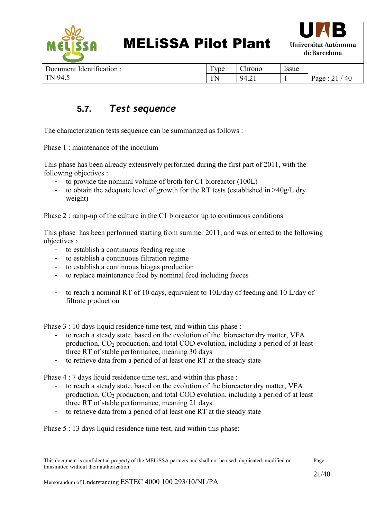

| Document Identification: |  |
|--------------------------|--|
| TN 94.5                  |  |

| Type | Chrono | <i>ssue</i> |               |
|------|--------|-------------|---------------|
| TN   | 94.21  |             | Page: $21/40$ |

#### **5.7.** *Test sequence*

<span id="page-20-0"></span>The characterization tests sequence can be summarized as follows :

Phase 1 · maintenance of the inoculum

This phase has been already extensively performed during the first part of 2011, with the following objectives :

- to provide the nominal volume of broth for C1 bioreactor (100L)
- to obtain the adequate level of growth for the RT tests (established in >40g/L dry weight)

Phase 2 : ramp-up of the culture in the C1 bioreactor up to continuous conditions

This phase has been performed starting from summer 2011, and was oriented to the following objectives :

- to establish a continuous feeding regime
- to establish a continuous filtration regime
- to establish a continuous biogas production
- to replace maintenance feed by nominal feed including faeces
- to reach a nominal RT of 10 days, equivalent to 10L/day of feeding and 10 L/day of filtrate production

Phase 3 : 10 days liquid residence time test, and within this phase :

- to reach a steady state, based on the evolution of the bioreactor dry matter, VFA production,  $CO<sub>2</sub>$  production, and total COD evolution, including a period of at least three RT of stable performance, meaning 30 days
- to retrieve data from a period of at least one RT at the steady state

Phase 4 : 7 days liquid residence time test, and within this phase :

- to reach a steady state, based on the evolution of the bioreactor dry matter, VFA production,  $CO<sub>2</sub>$  production, and total COD evolution, including a period of at least three RT of stable performance, meaning 21 days
- to retrieve data from a period of at least one RT at the steady state

Phase 5 : 13 days liquid residence time test, and within this phase: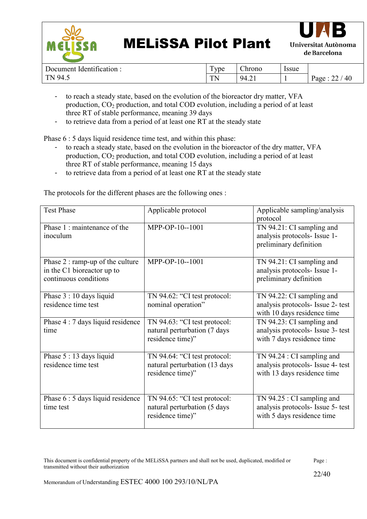



| r<br>dentification:<br>Document | $\overline{ }$<br>ype | ~·<br>hrono  | <i><u><b>Issue</b></u></i> |                   |
|---------------------------------|-----------------------|--------------|----------------------------|-------------------|
| 94.5<br>$T_{\rm A}$<br>. .      | TЛ.<br>.              | 94<br>T. 2 1 |                            | 40<br>Page<br>– – |

- to reach a steady state, based on the evolution of the bioreactor dry matter, VFA production,  $CO<sub>2</sub>$  production, and total COD evolution, including a period of at least three RT of stable performance, meaning 39 days
- to retrieve data from a period of at least one RT at the steady state

Phase  $6:5$  days liquid residence time test, and within this phase:

- to reach a steady state, based on the evolution in the bioreactor of the dry matter, VFA production, CO<sup>2</sup> production, and total COD evolution, including a period of at least three RT of stable performance, meaning 15 days
- to retrieve data from a period of at least one RT at the steady state

| <b>Test Phase</b>                                                                       | Applicable protocol                                                               | Applicable sampling/analysis<br>protocol                                                         |
|-----------------------------------------------------------------------------------------|-----------------------------------------------------------------------------------|--------------------------------------------------------------------------------------------------|
| Phase 1: maintenance of the<br>inoculum                                                 | MPP-OP-10--1001                                                                   | TN 94.21: CI sampling and<br>analysis protocols- Issue 1-<br>preliminary definition              |
| Phase 2 : ramp-up of the culture<br>in the C1 bioreactor up to<br>continuous conditions | MPP-OP-10--1001                                                                   | TN 94.21: CI sampling and<br>analysis protocols- Issue 1-<br>preliminary definition              |
| Phase 3 : 10 days liquid<br>residence time test                                         | TN 94.62: "CI test protocol:<br>nominal operation"                                | TN 94.22: CI sampling and<br>analysis protocols- Issue 2- test<br>with 10 days residence time    |
| Phase 4 : 7 days liquid residence<br>time                                               | TN 94.63: "CI test protocol:<br>natural perturbation (7 days<br>residence time)"  | TN 94.23: CI sampling and<br>analysis protocols- Issue 3- test<br>with 7 days residence time     |
| Phase 5 : 13 days liquid<br>residence time test                                         | TN 94.64: "CI test protocol:<br>natural perturbation (13 days<br>residence time)" | TN $94.24$ : CI sampling and<br>analysis protocols- Issue 4- test<br>with 13 days residence time |
| Phase 6 : 5 days liquid residence<br>time test                                          | TN 94.65: "CI test protocol:<br>natural perturbation (5 days<br>residence time)"  | TN $94.25$ : CI sampling and<br>analysis protocols- Issue 5- test<br>with 5 days residence time  |

The protocols for the different phases are the following ones :

This document is confidential property of the MELiSSA partners and shall not be used, duplicated, modified or transmitted without their authorization Page :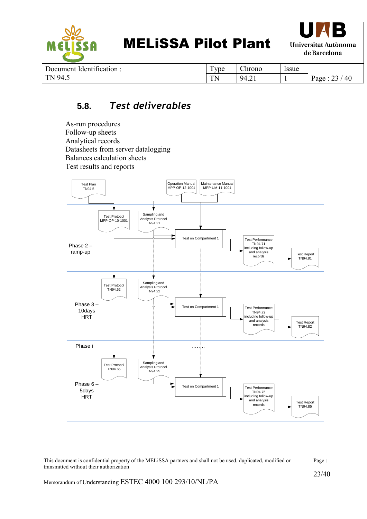

| Document Identification : |  |
|---------------------------|--|
| TN 94.5                   |  |

| Type | Chrono | Issue |               |
|------|--------|-------|---------------|
| TN   | 94.21  |       | Page: $23/40$ |

#### **5.8.** *Test deliverables*

<span id="page-22-0"></span>As-run procedures Follow-up sheets Analytical records Datasheets from server datalogging Balances calculation sheets Test results and reports

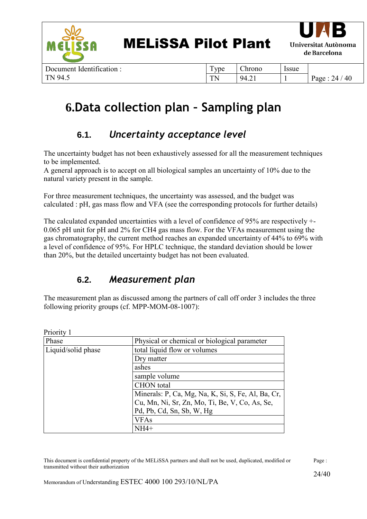



Document Identification : TN 94.5

| Type | Chrono | <i>Issue</i> |               |
|------|--------|--------------|---------------|
| TN   | 94.21  |              | Page: $24/40$ |

## <span id="page-23-0"></span>**6.Data collection plan – Sampling plan**

### **6.1.** *Uncertainty acceptance level*

<span id="page-23-1"></span>The uncertainty budget has not been exhaustively assessed for all the measurement techniques to be implemented.

A general approach is to accept on all biological samples an uncertainty of 10% due to the natural variety present in the sample.

For three measurement techniques, the uncertainty was assessed, and the budget was calculated : pH, gas mass flow and VFA (see the corresponding protocols for further details)

The calculated expanded uncertainties with a level of confidence of 95% are respectively +- 0.065 pH unit for pH and 2% for CH4 gas mass flow. For the VFAs measurement using the gas chromatography, the current method reaches an expanded uncertainty of 44% to 69% with a level of confidence of 95%. For HPLC technique, the standard deviation should be lower than 20%, but the detailed uncertainty budget has not been evaluated.

#### **6.2.** *Measurement plan*

<span id="page-23-2"></span>The measurement plan as discussed among the partners of call off order 3 includes the three following priority groups (cf. MPP-MOM-08-1007):

| Priority 1         |                                                    |
|--------------------|----------------------------------------------------|
| Phase              | Physical or chemical or biological parameter       |
| Liquid/solid phase | total liquid flow or volumes                       |
|                    | Dry matter                                         |
|                    | ashes                                              |
|                    | sample volume                                      |
|                    | <b>CHON</b> total                                  |
|                    | Minerals: P, Ca, Mg, Na, K, Si, S, Fe, Al, Ba, Cr, |
|                    | Cu, Mn, Ni, Sr, Zn, Mo, Ti, Be, V, Co, As, Se,     |
|                    | Pd, Pb, Cd, Sn, Sb, W, Hg                          |
|                    | <b>VFAs</b>                                        |
|                    | NH4+                                               |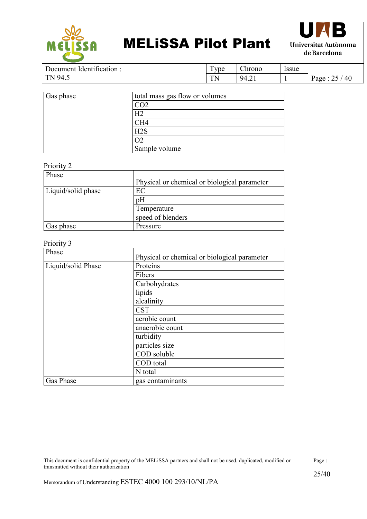



Document Identification : TN 94.5 Type Chrono Issue TN 94.21 1 Page :  $25 / 40$ 

| Gas phase | total mass gas flow or volumes |
|-----------|--------------------------------|
|           |                                |
|           | H2                             |
|           | CH4                            |
|           | H2S                            |
|           |                                |
|           | Sample volume                  |

#### Priority 2

| Phase              |                                              |
|--------------------|----------------------------------------------|
|                    | Physical or chemical or biological parameter |
| Liquid/solid phase | ЕC                                           |
|                    | pΗ                                           |
|                    | Temperature                                  |
|                    | speed of blenders                            |
| Gas phase          | Pressure                                     |

#### Priority 3

| Phase              | Physical or chemical or biological parameter |
|--------------------|----------------------------------------------|
| Liquid/solid Phase | Proteins                                     |
|                    | Fibers                                       |
|                    | Carbohydrates                                |
|                    | lipids                                       |
|                    | alcalinity                                   |
|                    | <b>CST</b>                                   |
|                    | aerobic count                                |
|                    | anaerobic count                              |
|                    | turbidity                                    |
|                    | particles size                               |
|                    | COD soluble                                  |
|                    | COD total                                    |
|                    | N total                                      |
| Gas Phase          | gas contaminants                             |

This document is confidential property of the MELiSSA partners and shall not be used, duplicated, modified or transmitted without their authorization Page :

25/40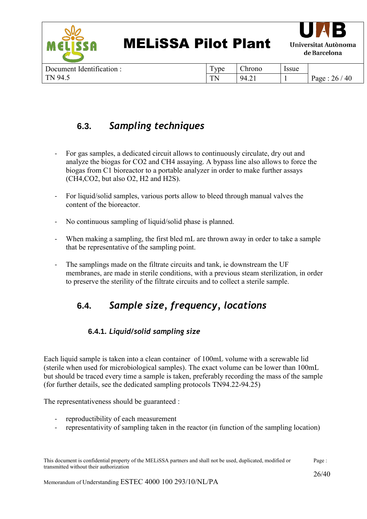

| Document Identification: | vpe     | .)hronc        | Issue |                  |
|--------------------------|---------|----------------|-------|------------------|
| $TN$ 94 5                | TN.<br> | 942<br>· ⊤.∠ ⊥ |       | 40<br>26<br>Page |

### **6.3.** *Sampling techniques*

- <span id="page-25-0"></span>- For gas samples, a dedicated circuit allows to continuously circulate, dry out and analyze the biogas for CO2 and CH4 assaying. A bypass line also allows to force the biogas from C1 bioreactor to a portable analyzer in order to make further assays (CH4,CO2, but also O2, H2 and H2S).
- For liquid/solid samples, various ports allow to bleed through manual valves the content of the bioreactor.
- No continuous sampling of liquid/solid phase is planned.
- When making a sampling, the first bled mL are thrown away in order to take a sample that be representative of the sampling point.
- The samplings made on the filtrate circuits and tank, ie downstream the UF membranes, are made in sterile conditions, with a previous steam sterilization, in order to preserve the sterility of the filtrate circuits and to collect a sterile sample.

### <span id="page-25-1"></span>**6.4.** *Sample size, frequency, locations*

#### **6.4.1.** *Liquid/solid sampling size*

<span id="page-25-2"></span>Each liquid sample is taken into a clean container of 100mL volume with a screwable lid (sterile when used for microbiological samples). The exact volume can be lower than 100mL but should be traced every time a sample is taken, preferably recording the mass of the sample (for further details, see the dedicated sampling protocols TN94.22-94.25)

The representativeness should be guaranteed :

- reproductibility of each measurement
- representativity of sampling taken in the reactor (in function of the sampling location)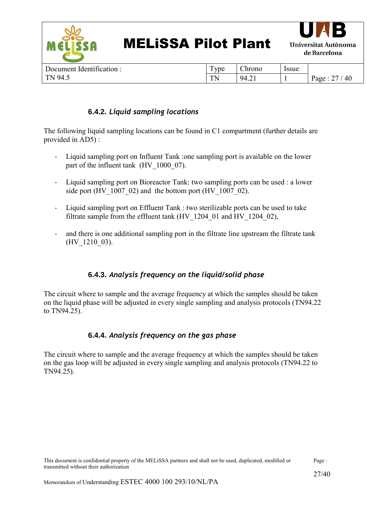

| Document Identification : | vpe \te | $\sim$<br>Chrono               | <i>ssue</i> |            |
|---------------------------|---------|--------------------------------|-------------|------------|
| $\vert$ TN 94.5           | . .     | 94<br>$\overline{\phantom{a}}$ |             | 40<br>Page |

#### **6.4.2.** *Liquid sampling locations*

<span id="page-26-0"></span>The following liquid sampling locations can be found in C1 compartment (further details are provided in AD5) :

- Liquid sampling port on Influent Tank :one sampling port is available on the lower part of the influent tank (HV 1000 07).
- Liquid sampling port on Bioreactor Tank: two sampling ports can be used : a lower side port (HV  $1007$  02) and the bottom port (HV  $1007$  02).
- Liquid sampling port on Effluent Tank : two sterilizable ports can be used to take filtrate sample from the effluent tank (HV\_1204\_01 and HV\_1204\_02),
- and there is one additional sampling port in the filtrate line upstream the filtrate tank (HV\_1210\_03).

#### **6.4.3.** *Analysis frequency on the liquid/solid phase*

<span id="page-26-1"></span>The circuit where to sample and the average frequency at which the samples should be taken on the liquid phase will be adjusted in every single sampling and analysis protocols (TN94.22 to TN94.25).

#### **6.4.4.** *Analysis frequency on the gas phase*

<span id="page-26-2"></span>The circuit where to sample and the average frequency at which the samples should be taken on the gas loop will be adjusted in every single sampling and analysis protocols (TN94.22 to TN94.25).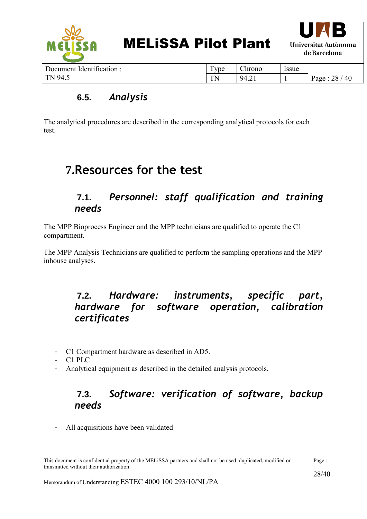

#### **6.5.** *Analysis*

<span id="page-27-0"></span>The analytical procedures are described in the corresponding analytical protocols for each test.

### <span id="page-27-1"></span>**7.Resources for the test**

#### **7.1.** *Personnel: staff qualification and training needs*

<span id="page-27-2"></span>The MPP Bioprocess Engineer and the MPP technicians are qualified to operate the C1 compartment.

The MPP Analysis Technicians are qualified to perform the sampling operations and the MPP inhouse analyses.

#### <span id="page-27-3"></span>**7.2.** *Hardware: instruments, specific part, hardware for software operation, calibration certificates*

- C1 Compartment hardware as described in AD5.
- C1 PLC
- <span id="page-27-4"></span>- Analytical equipment as described in the detailed analysis protocols.

#### **7.3.** *Software: verification of software, backup needs*

- All acquisitions have been validated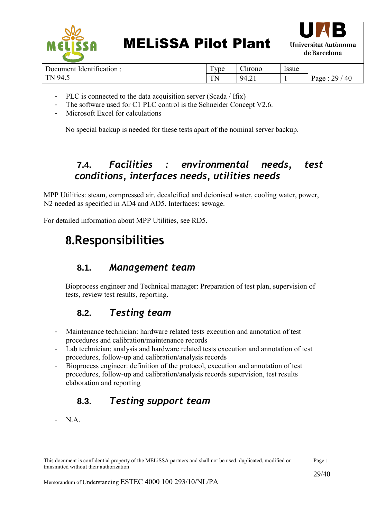

| Document Identification : |  |
|---------------------------|--|
| TN 94.5                   |  |

Type Chrono Issue TN | 94.21 | 1 | Page : 29 / 40

- PLC is connected to the data acquisition server (Scada / Ifix)
- The software used for C1 PLC control is the Schneider Concept V2.6.
- Microsoft Excel for calculations

No special backup is needed for these tests apart of the nominal server backup.

### **7.4.** *Facilities : environmental needs, test conditions, interfaces needs, utilities needs*

<span id="page-28-0"></span>MPP Utilities: steam, compressed air, decalcified and deionised water, cooling water, power, N2 needed as specified in AD4 and AD5. Interfaces: sewage.

<span id="page-28-1"></span>For detailed information about MPP Utilities, see RD5.

### **8.Responsibilities**

#### **8.1.** *Management team*

<span id="page-28-2"></span>Bioprocess engineer and Technical manager: Preparation of test plan, supervision of tests, review test results, reporting.

#### **8.2.** *Testing team*

- <span id="page-28-3"></span>Maintenance technician: hardware related tests execution and annotation of test procedures and calibration/maintenance records
- Lab technician: analysis and hardware related tests execution and annotation of test procedures, follow-up and calibration/analysis records
- Bioprocess engineer: definition of the protocol, execution and annotation of test procedures, follow-up and calibration/analysis records supervision, test results elaboration and reporting

### **8.3.** *Testing support team*

<span id="page-28-4"></span>- N.A.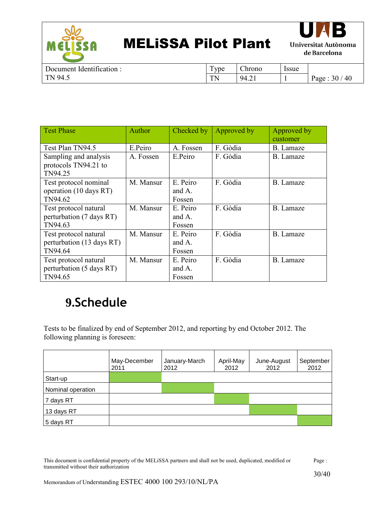



| $\cdot$ $\sim$<br>dentification:<br>Jocument | $\sqrt{2}$<br>ype<br><b>.</b> | $\sim$<br>Chrono          | Issue |                               |
|----------------------------------------------|-------------------------------|---------------------------|-------|-------------------------------|
| 94<br>TN.<br>$\ddotsc$<br>.                  | $T_{\rm N}$<br>.              | $\sim$ 1<br>94<br>· ⊤.∠ ⊥ |       | 30 <sub>1</sub><br>40<br>Page |

| <b>Test Phase</b>         | Author    | Checked by | Approved by | Approved by      |
|---------------------------|-----------|------------|-------------|------------------|
|                           |           |            |             | customer         |
| Test Plan TN94.5          | E.Peiro   | A. Fossen  | F. Gòdia    | B. Lamaze        |
| Sampling and analysis     | A. Fossen | E.Peiro    | F. Gòdia    | B. Lamaze        |
| protocols TN94.21 to      |           |            |             |                  |
| TN94.25                   |           |            |             |                  |
| Test protocol nominal     | M. Mansur | E. Peiro   | F. Gòdia    | B. Lamaze        |
| operation (10 days RT)    |           | and $A$ .  |             |                  |
| TN94.62                   |           | Fossen     |             |                  |
| Test protocol natural     | M. Mansur | E. Peiro   | F. Gòdia    | B. Lamaze        |
| perturbation (7 days RT)  |           | and A.     |             |                  |
| TN94.63                   |           | Fossen     |             |                  |
| Test protocol natural     | M. Mansur | E. Peiro   | F. Gòdia    | B. Lamaze        |
| perturbation (13 days RT) |           | and A.     |             |                  |
| TN94.64                   |           | Fossen     |             |                  |
| Test protocol natural     | M. Mansur | E. Peiro   | F. Gòdia    | <b>B.</b> Lamaze |
| perturbation (5 days RT)  |           | and $A$ .  |             |                  |
| TN94.65                   |           | Fossen     |             |                  |

### <span id="page-29-0"></span>**9.Schedule**

Tests to be finalized by end of September 2012, and reporting by end October 2012. The following planning is foreseen:

|                   | May-December<br>2011 | January-March<br>2012 | April-May<br>2012 | June-August<br>2012 | September<br>2012 |
|-------------------|----------------------|-----------------------|-------------------|---------------------|-------------------|
| Start-up          |                      |                       |                   |                     |                   |
| Nominal operation |                      |                       |                   |                     |                   |
| 7 days RT         |                      |                       |                   |                     |                   |
| 13 days RT        |                      |                       |                   |                     |                   |
| 5 days RT         |                      |                       |                   |                     |                   |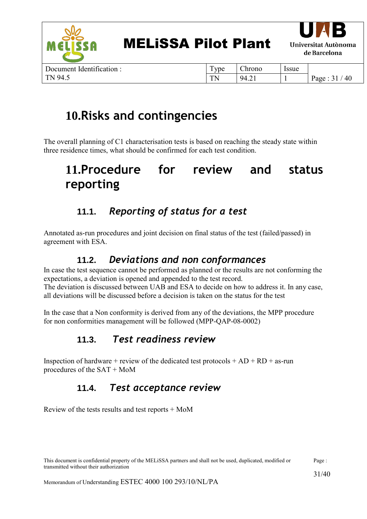

| Document Identification: | <b>vpe</b> | $\sim$<br>hrono: | Issue |       |
|--------------------------|------------|------------------|-------|-------|
| T N<br>94.5              | ТN<br>     | 94<br>· ⊤.∠ ⊥    |       | rage. |

### <span id="page-30-0"></span>**10.Risks and contingencies**

The overall planning of C1 characterisation tests is based on reaching the steady state within three residence times, what should be confirmed for each test condition.

### <span id="page-30-1"></span>**11.Procedure for review and status reporting**

### **11.1.** *Reporting of status for a test*

<span id="page-30-2"></span>Annotated as-run procedures and joint decision on final status of the test (failed/passed) in agreement with ESA.

#### **11.2.** *Deviations and non conformances*

<span id="page-30-3"></span>In case the test sequence cannot be performed as planned or the results are not conforming the expectations, a deviation is opened and appended to the test record. The deviation is discussed between UAB and ESA to decide on how to address it. In any case, all deviations will be discussed before a decision is taken on the status for the test

In the case that a Non conformity is derived from any of the deviations, the MPP procedure for non conformities management will be followed (MPP-QAP-08-0002)

### <span id="page-30-4"></span>**11.3.** *Test readiness review*

Inspection of hardware + review of the dedicated test protocols  $+ AD + RD +$  as-run procedures of the SAT + MoM

### **11.4.** *Test acceptance review*

<span id="page-30-5"></span>Review of the tests results and test reports + MoM

This document is confidential property of the MELiSSA partners and shall not be used, duplicated, modified or transmitted without their authorization Page :

 $31 / 40$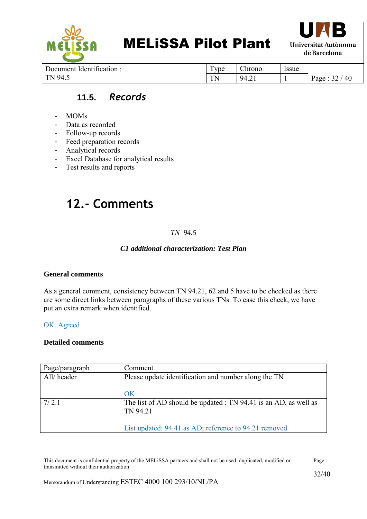



Document Identification : TN 94.5

Type | Chrono | Issue TN | 94.21 | 1 | Page :  $32 / 40$ 

#### **11.5.** *Records*

- <span id="page-31-0"></span>- MOMs
- Data as recorded
- Follow-up records
- Feed preparation records
- Analytical records
- Excel Database for analytical results
- Test results and reports

### <span id="page-31-1"></span>**12.- Comments**

#### *TN 94.5*

#### *C1 additional characterization: Test Plan*

#### **General comments**

As a general comment, consistency between TN 94.21, 62 and 5 have to be checked as there are some direct links between paragraphs of these various TNs. To ease this check, we have put an extra remark when identified.

#### OK. Agreed

#### **Detailed comments**

| Page/paragraph | Comment                                                                      |
|----------------|------------------------------------------------------------------------------|
| All/header     | Please update identification and number along the TN                         |
|                | OK                                                                           |
| 7/2.1          | The list of AD should be updated : TN 94.41 is an AD, as well as<br>TN 94.21 |
|                | List updated: 94.41 as AD; reference to 94.21 removed                        |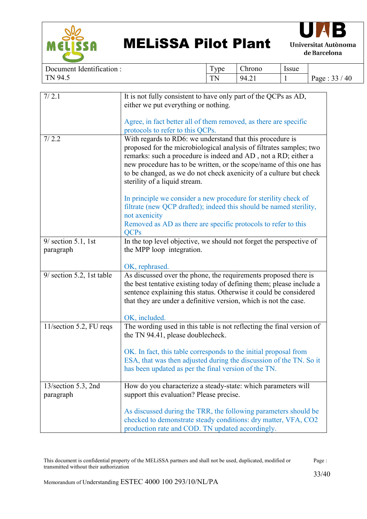



| : Identification:<br>Document | <b>TD</b><br>l vpe | --<br>hrono:   | Issue |                             |
|-------------------------------|--------------------|----------------|-------|-----------------------------|
| 94<br>TNL<br>.                | TN<br>1 I N        | 94.21<br>T. 41 |       | $\sim$ $\sim$<br>40<br>Page |

| 7/2.1                     | It is not fully consistent to have only part of the QCPs as AD,       |
|---------------------------|-----------------------------------------------------------------------|
|                           | either we put everything or nothing.                                  |
|                           |                                                                       |
|                           | Agree, in fact better all of them removed, as there are specific      |
|                           | protocols to refer to this QCPs.                                      |
| 7/2.2                     | With regards to RD6: we understand that this procedure is             |
|                           | proposed for the microbiological analysis of filtrates samples; two   |
|                           | remarks: such a procedure is indeed and AD, not a RD; either a        |
|                           | new procedure has to be written, or the scope/name of this one has    |
|                           | to be changed, as we do not check axenicity of a culture but check    |
|                           | sterility of a liquid stream.                                         |
|                           | In principle we consider a new procedure for sterility check of       |
|                           | filtrate (new QCP drafted); indeed this should be named sterility,    |
|                           | not axenicity                                                         |
|                           | Removed as AD as there are specific protocols to refer to this        |
|                           | <b>QCPs</b>                                                           |
| $9/$ section 5.1, 1st     | In the top level objective, we should not forget the perspective of   |
| paragraph                 | the MPP loop integration.                                             |
|                           |                                                                       |
|                           | OK, rephrased.                                                        |
| 9/ section 5.2, 1st table | As discussed over the phone, the requirements proposed there is       |
|                           | the best tentative existing today of defining them; please include a  |
|                           | sentence explaining this status. Otherwise it could be considered     |
|                           | that they are under a definitive version, which is not the case.      |
|                           |                                                                       |
|                           | OK, included.                                                         |
| 11/section 5.2, FU reqs   | The wording used in this table is not reflecting the final version of |
|                           | the TN 94.41, please doublecheck.                                     |
|                           | OK. In fact, this table corresponds to the initial proposal from      |
|                           | ESA, that was then adjusted during the discussion of the TN. So it    |
|                           | has been updated as per the final version of the TN.                  |
|                           |                                                                       |
| 13/section 5.3, 2nd       | How do you characterize a steady-state: which parameters will         |
| paragraph                 | support this evaluation? Please precise.                              |
|                           |                                                                       |
|                           | As discussed during the TRR, the following parameters should be       |
|                           | checked to demonstrate steady conditions: dry matter, VFA, CO2        |
|                           | production rate and COD. TN updated accordingly.                      |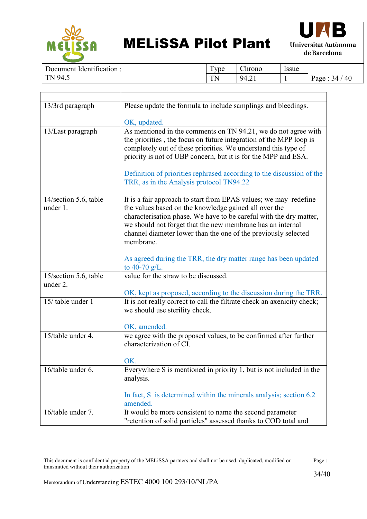



 $\overline{\phantom{a}}$ 

Document Identification : TN 94.5

T

Type Chrono Issue TN | 94.21 | 1 | Page :  $34 / 40$ 

| 13/3rd paragraph      | Please update the formula to include samplings and bleedings.                                                                                                                                                                                                                                                                                                                                 |
|-----------------------|-----------------------------------------------------------------------------------------------------------------------------------------------------------------------------------------------------------------------------------------------------------------------------------------------------------------------------------------------------------------------------------------------|
|                       | OK, updated.                                                                                                                                                                                                                                                                                                                                                                                  |
| 13/Last paragraph     | As mentioned in the comments on TN 94.21, we do not agree with<br>the priorities, the focus on future integration of the MPP loop is<br>completely out of these priorities. We understand this type of<br>priority is not of UBP concern, but it is for the MPP and ESA.<br>Definition of priorities rephrased according to the discussion of the<br>TRR, as in the Analysis protocol TN94.22 |
| 14/section 5.6, table | It is a fair approach to start from EPAS values; we may redefine                                                                                                                                                                                                                                                                                                                              |
| under 1.              | the values based on the knowledge gained all over the                                                                                                                                                                                                                                                                                                                                         |
|                       | characterisation phase. We have to be careful with the dry matter,                                                                                                                                                                                                                                                                                                                            |
|                       | we should not forget that the new membrane has an internal                                                                                                                                                                                                                                                                                                                                    |
|                       | channel diameter lower than the one of the previously selected                                                                                                                                                                                                                                                                                                                                |
|                       | membrane.                                                                                                                                                                                                                                                                                                                                                                                     |
|                       | As agreed during the TRR, the dry matter range has been updated                                                                                                                                                                                                                                                                                                                               |
|                       | to 40-70 $g/L$ .                                                                                                                                                                                                                                                                                                                                                                              |
| 15/section 5.6, table | value for the straw to be discussed.                                                                                                                                                                                                                                                                                                                                                          |
| under 2.              |                                                                                                                                                                                                                                                                                                                                                                                               |
|                       | OK, kept as proposed, according to the discussion during the TRR.                                                                                                                                                                                                                                                                                                                             |
| 15/ table under 1     | It is not really correct to call the filtrate check an axenicity check;                                                                                                                                                                                                                                                                                                                       |
|                       | we should use sterility check.                                                                                                                                                                                                                                                                                                                                                                |
|                       | OK, amended.                                                                                                                                                                                                                                                                                                                                                                                  |
| 15/table under 4.     | we agree with the proposed values, to be confirmed after further                                                                                                                                                                                                                                                                                                                              |
|                       | characterization of CI.                                                                                                                                                                                                                                                                                                                                                                       |
|                       |                                                                                                                                                                                                                                                                                                                                                                                               |
|                       | OK.                                                                                                                                                                                                                                                                                                                                                                                           |
| 16/table under 6.     | Everywhere S is mentioned in priority 1, but is not included in the                                                                                                                                                                                                                                                                                                                           |
|                       | analysis.                                                                                                                                                                                                                                                                                                                                                                                     |
|                       | In fact, S is determined within the minerals analysis; section 6.2<br>amended.                                                                                                                                                                                                                                                                                                                |
| 16/table under 7.     | It would be more consistent to name the second parameter                                                                                                                                                                                                                                                                                                                                      |
|                       | "retention of solid particles" assessed thanks to COD total and                                                                                                                                                                                                                                                                                                                               |
|                       |                                                                                                                                                                                                                                                                                                                                                                                               |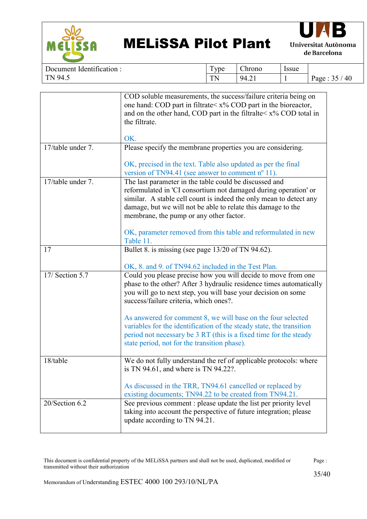



| dentification:<br>Document | ౼<br>ype                    | $\sim$<br>Chrono    | Issue |            |
|----------------------------|-----------------------------|---------------------|-------|------------|
| 94.1<br>$T_{\rm N}$        | $T_{\rm N}$<br><b>A A \</b> | 94<br>$\sim$<br>т.∠ |       | 40<br>Page |

|                             | COD soluble measurements, the success/failure criteria being on                    |
|-----------------------------|------------------------------------------------------------------------------------|
|                             | one hand: COD part in filtrate < x% COD part in the bioreactor,                    |
|                             | and on the other hand, COD part in the filtral te $\langle x \rangle$ COD total in |
|                             | the filtrate.                                                                      |
|                             |                                                                                    |
|                             | OK.                                                                                |
| 17/table under 7.           | Please specify the membrane properties you are considering.                        |
|                             | OK, precised in the text. Table also updated as per the final                      |
|                             | version of TN94.41 (see answer to comment n <sup>o</sup> 11).                      |
| 17/table under 7.           | The last parameter in the table could be discussed and                             |
|                             | reformulated in 'CI consortium not damaged during operation' or                    |
|                             | similar. A stable cell count is indeed the only mean to detect any                 |
|                             | damage, but we will not be able to relate this damage to the                       |
|                             | membrane, the pump or any other factor.                                            |
|                             |                                                                                    |
|                             | OK, parameter removed from this table and reformulated in new                      |
|                             | Table 11.                                                                          |
| 17                          | Bullet 8. is missing (see page 13/20 of TN 94.62).                                 |
|                             |                                                                                    |
|                             | OK, 8. and 9. of TN94.62 included in the Test Plan.                                |
| 17/ Section 5.7             | Could you please precise how you will decide to move from one                      |
|                             | phase to the other? After 3 hydraulic residence times automatically                |
|                             | you will go to next step, you will base your decision on some                      |
|                             | success/failure criteria, which ones?.                                             |
|                             |                                                                                    |
|                             | As answered for comment 8, we will base on the four selected                       |
|                             | variables for the identification of the steady state, the transition               |
|                             | period not necessary be 3 RT (this is a fixed time for the steady                  |
|                             | state period, not for the transition phase).                                       |
|                             |                                                                                    |
| 18/table                    | We do not fully understand the ref of applicable protocols: where                  |
|                             | is TN 94.61, and where is TN 94.22?.                                               |
|                             |                                                                                    |
|                             | As discussed in the TRR, TN94.61 cancelled or replaced by                          |
|                             | existing documents; TN94.22 to be created from TN94.21.                            |
| 20/Section $6.\overline{2}$ | See previous comment : please update the list per priority level                   |
|                             | taking into account the perspective of future integration; please                  |
|                             | update according to TN 94.21.                                                      |
|                             |                                                                                    |
|                             |                                                                                    |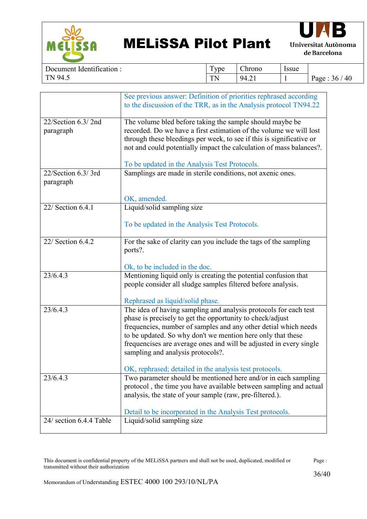



| $\cdot$ $\sim$<br>dentification:<br>Document' | $\mathbf{r}$<br><b>vpe</b> | $\sim$<br>hrono                                          | Issue |                  |
|-----------------------------------------------|----------------------------|----------------------------------------------------------|-------|------------------|
| 94.5<br>$\mathbf{T} \mathbf{N}$               | <b>TN</b><br><b>III</b>    | 94<br>т.∠ ⊥<br>$\sim$ $\sim$ $\sim$ $\sim$ $\sim$ $\sim$ |       | 40<br>Page<br>36 |

|                                 | See previous answer: Definition of priorities rephrased according<br>to the discussion of the TRR, as in the Analysis protocol TN94.22                                                                                                                                                                                                                                     |
|---------------------------------|----------------------------------------------------------------------------------------------------------------------------------------------------------------------------------------------------------------------------------------------------------------------------------------------------------------------------------------------------------------------------|
| 22/Section 6.3/2nd<br>paragraph | The volume bled before taking the sample should maybe be<br>recorded. Do we have a first estimation of the volume we will lost<br>through these bleedings per week, to see if this is significative or<br>not and could potentially impact the calculation of mass balances?.<br>To be updated in the Analysis Test Protocols.                                             |
| 22/Section 6.3/3rd<br>paragraph | Samplings are made in sterile conditions, not axenic ones.                                                                                                                                                                                                                                                                                                                 |
|                                 | OK, amended.                                                                                                                                                                                                                                                                                                                                                               |
| 22/ Section 6.4.1               | Liquid/solid sampling size                                                                                                                                                                                                                                                                                                                                                 |
|                                 | To be updated in the Analysis Test Protocols.                                                                                                                                                                                                                                                                                                                              |
| 22/ Section 6.4.2               | For the sake of clarity can you include the tags of the sampling<br>ports?.                                                                                                                                                                                                                                                                                                |
|                                 | Ok, to be included in the doc.                                                                                                                                                                                                                                                                                                                                             |
| 23/6.4.3                        | Mentioning liquid only is creating the potential confusion that<br>people consider all sludge samples filtered before analysis.                                                                                                                                                                                                                                            |
|                                 | Rephrased as liquid/solid phase.                                                                                                                                                                                                                                                                                                                                           |
| 23/6.4.3                        | The idea of having sampling and analysis protocols for each test<br>phase is precisely to get the opportunity to check/adjust<br>frequencies, number of samples and any other detial which needs<br>to be updated. So why don't we mention here only that these<br>frequencises are average ones and will be adjusted in every single<br>sampling and analysis protocols?. |
|                                 | OK, rephrased; detailed in the analysis test protocols.                                                                                                                                                                                                                                                                                                                    |
| 23/6.4.3                        | Two parameter should be mentioned here and/or in each sampling<br>protocol, the time you have available between sampling and actual<br>analysis, the state of your sample (raw, pre-filtered.).                                                                                                                                                                            |
|                                 | Detail to be incorporated in the Analysis Test protocols.                                                                                                                                                                                                                                                                                                                  |
| 24/ section 6.4.4 Table         | Liquid/solid sampling size                                                                                                                                                                                                                                                                                                                                                 |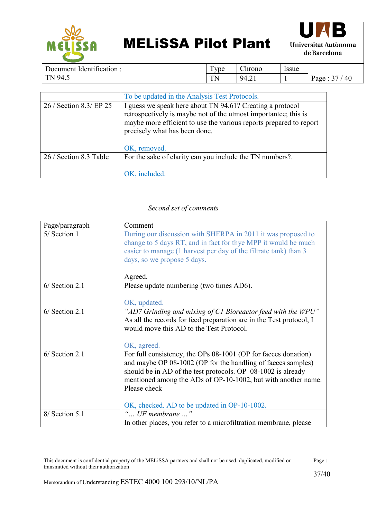



Document Identification : TN 94.5 Type Chrono Issue  $TN$  | 94.21 | 1 | Page : 37 / 40

|                         | To be updated in the Analysis Test Protocols.                                                                                                                                                                                                       |
|-------------------------|-----------------------------------------------------------------------------------------------------------------------------------------------------------------------------------------------------------------------------------------------------|
| 26 / Section 8.3/ EP 25 | I guess we speak here about TN 94.61? Creating a protocol<br>retrospectively is maybe not of the utmost importantee; this is<br>maybe more efficient to use the various reports prepared to report<br>precisely what has been done.<br>OK, removed. |
| 26 / Section 8.3 Table  | For the sake of clarity can you include the TN numbers?.<br>OK, included.                                                                                                                                                                           |

#### *Second set of comments*

| Page/paragraph   | Comment                                                                                                                                                                                                                                                                                                                         |
|------------------|---------------------------------------------------------------------------------------------------------------------------------------------------------------------------------------------------------------------------------------------------------------------------------------------------------------------------------|
| 5/ Section 1     | During our discussion with SHERPA in 2011 it was proposed to<br>change to 5 days RT, and in fact for thye MPP it would be much<br>easier to manage (1 harvest per day of the filtrate tank) than 3<br>days, so we propose 5 days.<br>Agreed.                                                                                    |
| $6/$ Section 2.1 | Please update numbering (two times AD6).<br>OK, updated.                                                                                                                                                                                                                                                                        |
| $6/$ Section 2.1 | "AD7 Grinding and mixing of C1 Bioreactor feed with the WPU"<br>As all the records for feed preparation are in the Test protocol, I<br>would move this AD to the Test Protocol.<br>OK, agreed.                                                                                                                                  |
| $6/$ Section 2.1 | For full consistency, the OPs 08-1001 (OP for faeces donation)<br>and maybe OP 08-1002 (OP for the handling of faeces samples)<br>should be in AD of the test protocols. OP 08-1002 is already<br>mentioned among the ADs of OP-10-1002, but with another name.<br>Please check<br>OK, checked. AD to be updated in OP-10-1002. |
| 8/ Section 5.1   | " UF membrane $\ldots$ "<br>In other places, you refer to a microfiltration membrane, please                                                                                                                                                                                                                                    |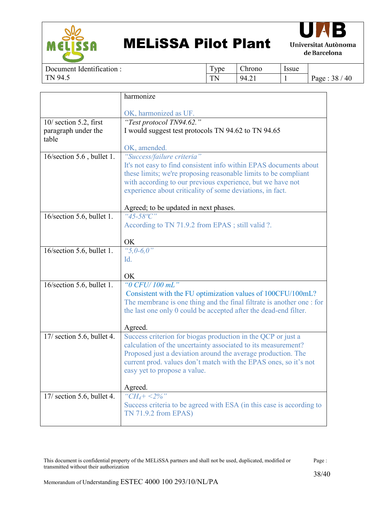



Document Identification : TN 94.5

Type Chrono Issue TN | 94.21 | 1 | Page :  $38 / 40$ 

|                              | harmonize                                                             |
|------------------------------|-----------------------------------------------------------------------|
|                              |                                                                       |
|                              | OK, harmonized as UF.                                                 |
| 10/ section 5.2, first       | "Test protocol TN94.62."                                              |
| paragraph under the          | I would suggest test protocols TN 94.62 to TN 94.65                   |
| table                        |                                                                       |
|                              | OK, amended.                                                          |
| 16/section 5.6, bullet 1.    | "Success/failure criteria"                                            |
|                              | It's not easy to find consistent info within EPAS documents about     |
|                              | these limits; we're proposing reasonable limits to be compliant       |
|                              | with according to our previous experience, but we have not            |
|                              | experience about criticality of some deviations, in fact.             |
|                              |                                                                       |
|                              | Agreed; to be updated in next phases.                                 |
| 16/section 5.6, bullet 1.    | " $45 - 58$ °C"                                                       |
|                              | According to TN 71.9.2 from EPAS; still valid ?.                      |
|                              |                                                                       |
|                              | OK                                                                    |
| 16/section 5.6, bullet 1.    | " $5,0-6,0$ "                                                         |
|                              | Id.                                                                   |
|                              |                                                                       |
|                              | OK                                                                    |
| 16/section 5.6, bullet 1.    | "0 CFU/100 mL"                                                        |
|                              | Consistent with the FU optimization values of 100CFU/100mL?           |
|                              | The membrane is one thing and the final filtrate is another one : for |
|                              | the last one only 0 could be accepted after the dead-end filter.      |
|                              |                                                                       |
|                              | Agreed.                                                               |
| $17/$ section 5.6, bullet 4. | Success criterion for biogas production in the QCP or just a          |
|                              | calculation of the uncertainty associated to its measurement?         |
|                              | Proposed just a deviation around the average production. The          |
|                              | current prod. values don't match with the EPAS ones, so it's not      |
|                              | easy yet to propose a value.                                          |
|                              | Agreed.                                                               |
|                              | " $CH_4+ <2\%$ "                                                      |
| $17/$ section 5.6, bullet 4. | Success criteria to be agreed with ESA (in this case is according to  |
|                              | TN 71.9.2 from EPAS)                                                  |
|                              |                                                                       |
|                              |                                                                       |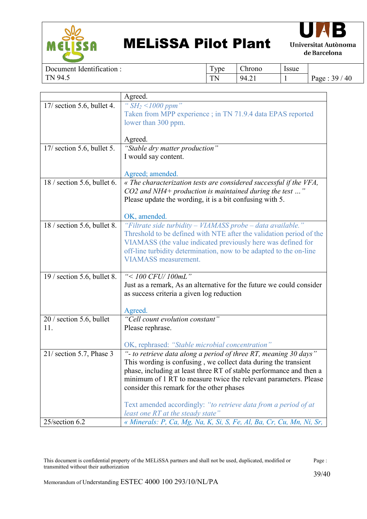



Document Identification : TN 94.5 Type Chrono Issue TN | 94.21 | 1 | Page :  $39/40$ 

|                              | Agreed.                                                              |
|------------------------------|----------------------------------------------------------------------|
| 17/ section 5.6, bullet 4.   | " $SH_2$ <1000 ppm"                                                  |
|                              | Taken from MPP experience; in TN 71.9.4 data EPAS reported           |
|                              | lower than 300 ppm.                                                  |
|                              |                                                                      |
|                              | Agreed.                                                              |
| 17/ section 5.6, bullet 5.   | "Stable dry matter production"                                       |
|                              | I would say content.                                                 |
|                              |                                                                      |
|                              | Agreed; amended.                                                     |
| $18/$ section 5.6, bullet 6. | « The characterization tests are considered successful if the VFA,   |
|                              | CO2 and NH4+ production is maintained during the test "              |
|                              | Please update the wording, it is a bit confusing with 5.             |
|                              |                                                                      |
|                              | OK, amended.                                                         |
| 18 / section 5.6, bullet 8.  | "Filtrate side turbidity - VIAMASS probe - data available."          |
|                              | Threshold to be defined with NTE after the validation period of the  |
|                              | VIAMASS (the value indicated previously here was defined for         |
|                              | off-line turbidity determination, now to be adapted to the on-line   |
|                              | <b>VIAMASS</b> measurement.                                          |
|                              |                                                                      |
| $19/$ section 5.6, bullet 8. | "<100 CFU/100mL"                                                     |
|                              | Just as a remark, As an alternative for the future we could consider |
|                              | as success criteria a given log reduction                            |
|                              |                                                                      |
|                              | Agreed.                                                              |
| 20 / section 5.6, bullet     | "Cell count evolution constant"                                      |
| 11.                          | Please rephrase.                                                     |
|                              |                                                                      |
|                              | OK, rephrased: "Stable microbial concentration"                      |
| $21/$ section 5.7, Phase 3   | "- to retrieve data along a period of three RT, meaning 30 days"     |
|                              | This wording is confusing, we collect data during the transient      |
|                              | phase, including at least three RT of stable performance and then a  |
|                              | minimum of 1 RT to measure twice the relevant parameters. Please     |
|                              | consider this remark for the other phases                            |
|                              |                                                                      |
|                              | Text amended accordingly: "to retrieve data from a period of at      |
|                              | least one RT at the steady state"                                    |
| 25/section 6.2               | « Minerals: P, Ca, Mg, Na, K, Si, S, Fe, Al, Ba, Cr, Cu, Mn, Ni, Sr, |